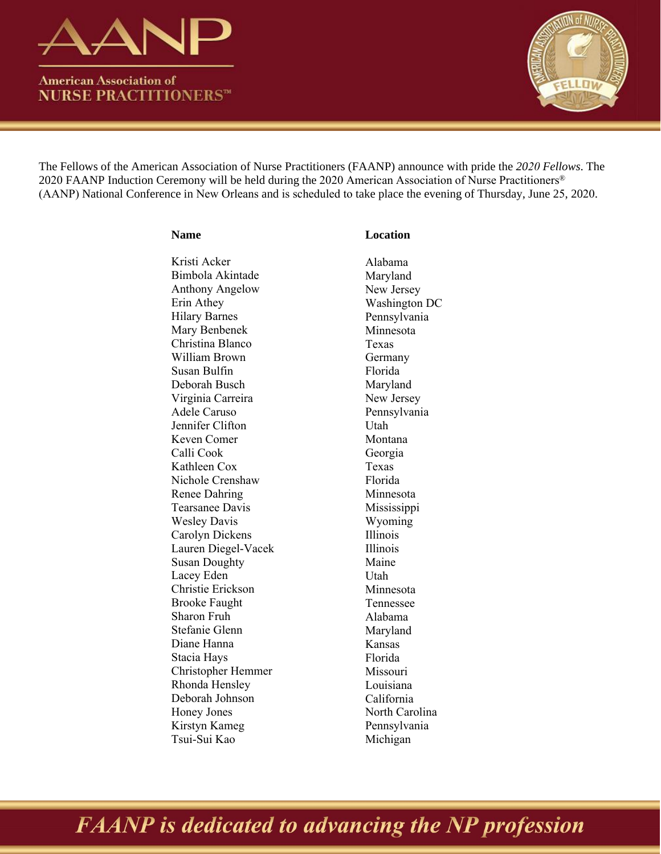

**American Association of NURSE PRACTITIONERS™** 



The Fellows of the American Association of Nurse Practitioners (FAANP) announce with pride the *2020 Fellows*. The 2020 FAANP Induction Ceremony will be held during the 2020 American Association of Nurse Practitioners® (AANP) National Conference in New Orleans and is scheduled to take place the evening of Thursday, June 25, 2020.

| <b>Name</b>            | <b>Location</b> |
|------------------------|-----------------|
| Kristi Acker           | Alabama         |
| Bimbola Akintade       | Maryland        |
| <b>Anthony Angelow</b> | New Jersey      |
| Erin Athey             | Washingto       |
| <b>Hilary Barnes</b>   | Pennsylvar      |
| Mary Benbenek          | Minnesota       |
| Christina Blanco       | Texas           |
| William Brown          | Germany         |
| Susan Bulfin           | Florida         |
| Deborah Busch          | Maryland        |
| Virginia Carreira      | New Jersey      |
| Adele Caruso           | Pennsylvar      |
| Jennifer Clifton       | Utah            |
| Keven Comer            | Montana         |
| Calli Cook             | Georgia         |
| Kathleen Cox           | Texas           |
| Nichole Crenshaw       | Florida         |
| Renee Dahring          | Minnesota       |
| Tearsanee Davis        | Mississipp      |
| <b>Wesley Davis</b>    | Wyoming         |
| Carolyn Dickens        | Illinois        |
| Lauren Diegel-Vacek    | Illinois        |
| <b>Susan Doughty</b>   | Maine           |
| Lacey Eden             | Utah            |
| Christie Erickson      | Minnesota       |
| <b>Brooke Faught</b>   | Tennessee       |
| Sharon Fruh            | Alabama         |
| Stefanie Glenn         | Maryland        |
| Diane Hanna            | Kansas          |
| Stacia Hays            | Florida         |
| Christopher Hemmer     | Missouri        |
| Rhonda Hensley         | Louisiana       |
| Deborah Johnson        | California      |
| Honey Jones            | North Card      |
| Kirstyn Kameg          | Pennsylvar      |
| Tsui-Sui Kao           | Michigan        |

# New Jersey  $\overline{DC}$ nia New Jersey nia Mississippi olina nia

## **FAANP** is dedicated to advancing the NP profession